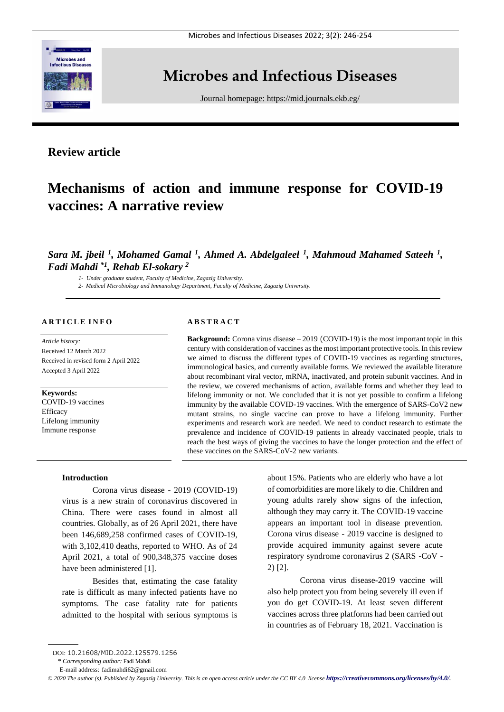

# **Microbes and Infectious Diseases**

Journal homepage:<https://mid.journals.ekb.eg/>

# **Review article**

# **Mechanisms of action and immune response for COVID-19 vaccines: A narrative review**

# *Sara M. jbeil <sup>1</sup> , Mohamed Gamal <sup>1</sup> , Ahmed A. Abdelgaleel <sup>1</sup> , Mahmoud Mahamed Sateeh <sup>1</sup> , Fadi Mahdi \*1 , Rehab El-sokary <sup>2</sup>*

*1- Under graduate student, Faculty of Medicine, Zagazig University.*

*2- Medical Microbiology and Immunology Department, Faculty of Medicine, Zagazig University.*

#### **A R T I C L E I N F O**

*Article history:*  Received 12 March 2022 Received in revised form 2 April 2022 Accepted 3 April 2022

**Keywords:** COVID-19 vaccines

**Efficacy** Lifelong immunity Immune response

#### **A B S T R A C T**

**Background:** Corona virus disease – 2019 (COVID-19) is the most important topic in this century with consideration of vaccines as the most important protective tools. In this review we aimed to discuss the different types of COVID-19 vaccines as regarding structures, immunological basics, and currently available forms. We reviewed the available literature about recombinant viral vector, mRNA, inactivated, and protein subunit vaccines. And in the review, we covered mechanisms of action, available forms and whether they lead to lifelong immunity or not. We concluded that it is not yet possible to confirm a lifelong immunity by the available COVID-19 vaccines. With the emergence of SARS-CoV2 new mutant strains, no single vaccine can prove to have a lifelong immunity. Further experiments and research work are needed. We need to conduct research to estimate the prevalence and incidence of COVID-19 patients in already vaccinated people, trials to reach the best ways of giving the vaccines to have the longer protection and the effect of these vaccines on the SARS-CoV-2 new variants.

## **Introduction**

Corona virus disease - 2019 (COVID-19) virus is a new strain of coronavirus discovered in China. There were cases found in almost all countries. Globally, as of 26 April 2021, there have been 146,689,258 confirmed cases of COVID-19, with 3,102,410 deaths, reported to WHO. As of 24 April 2021, a total of 900,348,375 vaccine doses have been administered [1].

Besides that, estimating the case fatality rate is difficult as many infected patients have no symptoms. The case fatality rate for patients admitted to the hospital with serious symptoms is

about 15%. Patients who are elderly who have a lot of comorbidities are more likely to die. Children and young adults rarely show signs of the infection, although they may carry it. The COVID-19 vaccine appears an important tool in disease prevention. Corona virus disease - 2019 vaccine is designed to provide acquired immunity against severe acute respiratory syndrome coronavirus 2 (SARS -CoV - 2) [2].

Corona virus disease-2019 vaccine will also help protect you from being severely ill even if you do get COVID-19. At least seven different vaccines across three platforms had been carried out in countries as of February 18, 2021. Vaccination is

DOI: 10.21608/MID.2022.125579.1256

<sup>\*</sup> *Corresponding author:* Fadi Mahdi

E-mail address: fadimahdi62@gmail.com

*<sup>©</sup> 2020 The author (s). Published by Zagazig University. This is an open access article under the CC BY 4.0 license <https://creativecommons.org/licenses/by/4.0/>.*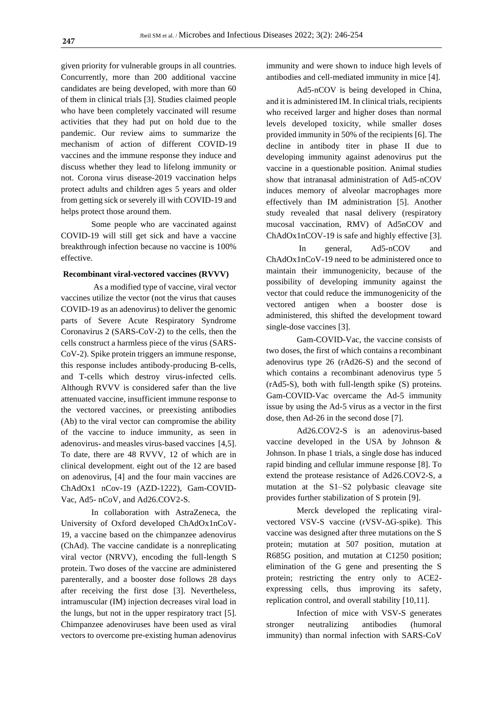given priority for vulnerable groups in all countries. Concurrently, more than 200 additional vaccine candidates are being developed, with more than 60 of them in clinical trials [3]. Studies claimed people who have been completely vaccinated will resume activities that they had put on hold due to the pandemic. Our review aims to summarize the mechanism of action of different COVID-19 vaccines and the immune response they induce and discuss whether they lead to lifelong immunity or not. Corona virus disease-2019 vaccination helps protect adults and children ages 5 years and older from getting sick or severely ill with COVID-19 and helps protect those around them.

Some people who are vaccinated against COVID-19 will still get sick and have a vaccine breakthrough infection because no vaccine is 100% effective.

#### **Recombinant viral-vectored vaccines (RVVV)**

As a modified type of vaccine, viral vector vaccines utilize the vector (not the virus that causes COVID-19 as an adenovirus) to deliver the genomic parts of Severe Acute Respiratory Syndrome Coronavirus 2 (SARS-CoV-2) to the cells, then the cells construct a harmless piece of the virus (SARS-CoV-2). Spike protein triggers an immune response, this response includes antibody-producing B-cells, and T-cells which destroy virus-infected cells. Although RVVV is considered safer than the live attenuated vaccine, insufficient immune response to the vectored vaccines, or preexisting antibodies (Ab) to the viral vector can compromise the ability of the vaccine to induce immunity, as seen in adenovirus- and measles virus-based vaccines [4,5]. To date, there are 48 RVVV, 12 of which are in clinical development. eight out of the 12 are based on adenovirus, [4] and the four main vaccines are ChAdOx1 nCov-19 (AZD-1222), Gam-COVID-Vac, Ad5- nCoV, and Ad26.COV2-S.

In collaboration with AstraZeneca, the University of Oxford developed ChAdOx1nCoV-19, a vaccine based on the chimpanzee adenovirus (ChAd). The vaccine candidate is a nonreplicating viral vector (NRVV), encoding the full-length S protein. Two doses of the vaccine are administered parenterally, and a booster dose follows 28 days after receiving the first dose [3]. Nevertheless, intramuscular (IM) injection decreases viral load in the lungs, but not in the upper respiratory tract [5]. Chimpanzee adenoviruses have been used as viral vectors to overcome pre-existing human adenovirus immunity and were shown to induce high levels of antibodies and cell-mediated immunity in mice [4].

Ad5-nCOV is being developed in China, and it is administered IM. In clinical trials, recipients who received larger and higher doses than normal levels developed toxicity, while smaller doses provided immunity in 50% of the recipients [6]. The decline in antibody titer in phase II due to developing immunity against adenovirus put the vaccine in a questionable position. Animal studies show that intranasal administration of Ad5-nCOV induces memory of alveolar macrophages more effectively than IM administration [5]. Another study revealed that nasal delivery (respiratory mucosal vaccination, RMV) of Ad5nCOV and ChAdOx1nCOV-19 is safe and highly effective [3].

In general, Ad5-nCOV and ChAdOx1nCoV-19 need to be administered once to maintain their immunogenicity, because of the possibility of developing immunity against the vector that could reduce the immunogenicity of the vectored antigen when a booster dose is administered, this shifted the development toward single-dose vaccines [3].

Gam-COVID-Vac, the vaccine consists of two doses, the first of which contains a recombinant adenovirus type 26 (rAd26-S) and the second of which contains a recombinant adenovirus type 5 (rAd5-S), both with full-length spike (S) proteins. Gam-COVID-Vac overcame the Ad-5 immunity issue by using the Ad-5 virus as a vector in the first dose, then Ad-26 in the second dose [7].

Ad26.COV2-S is an adenovirus-based vaccine developed in the USA by Johnson & Johnson. In phase 1 trials, a single dose has induced rapid binding and cellular immune response [8]. To extend the protease resistance of Ad26.COV2-S, a mutation at the S1–S2 polybasic cleavage site provides further stabilization of S protein [9].

Merck developed the replicating viralvectored VSV-S vaccine (rVSV-ΔG-spike). This vaccine was designed after three mutations on the S protein; mutation at 507 position, mutation at R685G position, and mutation at C1250 position; elimination of the G gene and presenting the S protein; restricting the entry only to ACE2 expressing cells, thus improving its safety, replication control, and overall stability [10,11].

Infection of mice with VSV-S generates stronger neutralizing antibodies (humoral immunity) than normal infection with SARS-CoV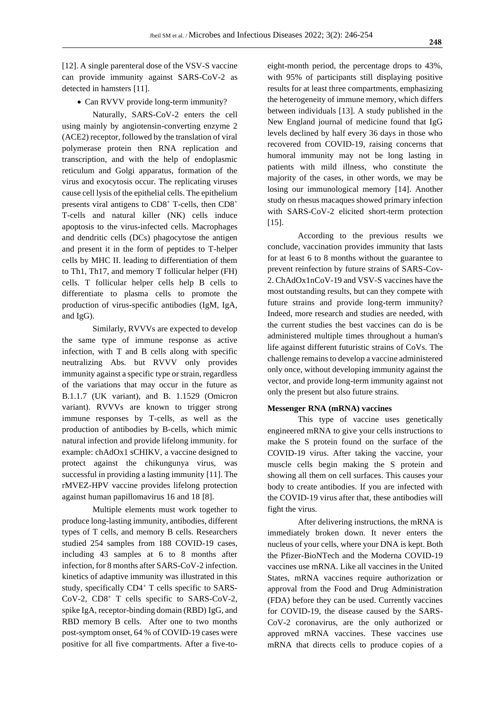[12]. A single parenteral dose of the VSV-S vaccine can provide immunity against SARS-CoV-2 as detected in hamsters [11].

• Can RVVV provide long-term immunity?

Naturally, SARS-CoV-2 enters the cell using mainly by angiotensin-converting enzyme 2 (ACE2) receptor, followed by the translation of viral polymerase protein then RNA replication and transcription, and with the help of endoplasmic reticulum and Golgi apparatus, formation of the virus and exocytosis occur. The replicating viruses cause cell lysis of the epithelial cells. The epithelium presents viral antigens to CD8<sup>+</sup> T-cells, then CD8<sup>+</sup> T-cells and natural killer (NK) cells induce apoptosis to the virus-infected cells. Macrophages and dendritic cells (DCs) phagocytose the antigen and present it in the form of peptides to T-helper cells by MHC II. leading to differentiation of them to Th1, Th17, and memory T follicular helper (FH) cells. T follicular helper cells help B cells to differentiate to plasma cells to promote the production of virus-specific antibodies (IgM, IgA, and IgG).

Similarly, RVVVs are expected to develop the same type of immune response as active infection, with T and B cells along with specific neutralizing Abs. but RVVV only provides immunity against a specific type or strain, regardless of the variations that may occur in the future as B.1.1.7 (UK variant), and B. 1.1529 (Omicron variant). RVVVs are known to trigger strong immune responses by T-cells, as well as the production of antibodies by B-cells, which mimic natural infection and provide lifelong immunity. for example: chAdOx1 sCHIKV, a vaccine designed to protect against the chikungunya virus, was successful in providing a lasting immunity [11]. The rMVEZ-HPV vaccine provides lifelong protection against human papillomavirus 16 and 18 [8].

Multiple elements must work together to produce long-lasting immunity, antibodies, different types of T cells, and memory B cells. Researchers studied 254 samples from 188 COVID-19 cases, including 43 samples at 6 to 8 months after infection, for 8 months after SARS-CoV-2 infection. kinetics of adaptive immunity was illustrated in this study, specifically CD4<sup>+</sup> T cells specific to SARS-CoV-2, CD8<sup>+</sup> T cells specific to SARS-CoV-2, spike IgA, receptor-binding domain (RBD) IgG, and RBD memory B cells. After one to two months post-symptom onset, 64 % of COVID-19 cases were positive for all five compartments. After a five-toeight-month period, the percentage drops to 43%, with 95% of participants still displaying positive results for at least three compartments, emphasizing the heterogeneity of immune memory, which differs between individuals [13]. A study published in the New England journal of medicine found that IgG levels declined by half every 36 days in those who recovered from COVID-19, raising concerns that humoral immunity may not be long lasting in patients with mild illness, who constitute the majority of the cases, in other words, we may be losing our immunological memory [14]. Another study on rhesus macaques showed primary infection with SARS-CoV-2 elicited short-term protection [15].

According to the previous results we conclude, vaccination provides immunity that lasts for at least 6 to 8 months without the guarantee to prevent reinfection by future strains of SARS-Cov-2. ChAdOx1nCoV-19 and VSV-S vaccines have the most outstanding results, but can they compete with future strains and provide long-term immunity? Indeed, more research and studies are needed, with the current studies the best vaccines can do is be administered multiple times throughout a human's life against different futuristic strains of CoVs. The challenge remains to develop a vaccine administered only once, without developing immunity against the vector, and provide long-term immunity against not only the present but also future strains.

#### **Messenger RNA (mRNA) vaccines**

This type of vaccine uses genetically engineered mRNA to give your cells instructions to make the S protein found on the surface of the COVID-19 virus. After taking the vaccine, your muscle cells begin making the S protein and showing all them on cell surfaces. This causes your body to create antibodies. If you are infected with the COVID-19 virus after that, these antibodies will fight the virus.

After delivering instructions, the mRNA is immediately broken down. It never enters the nucleus of your cells, where your DNA is kept. Both the Pfizer-BioNTech and the Moderna COVID-19 vaccines use mRNA. Like all vaccines in the United States, mRNA vaccines require authorization or approval from the Food and Drug Administration (FDA) before they can be used. Currently vaccines for COVID-19, the disease caused by the SARS-CoV-2 coronavirus, are the only authorized or approved mRNA vaccines. These vaccines use mRNA that directs cells to produce copies of a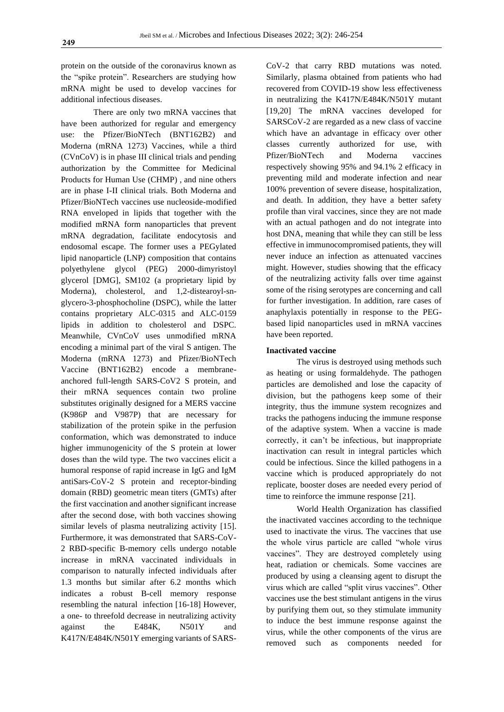protein on the outside of the coronavirus known as the "spike protein". Researchers are studying how mRNA might be used to develop vaccines for additional infectious diseases.

There are only two mRNA vaccines that have been authorized for regular and emergency use: the Pfizer/BioNTech (BNT162B2) and Moderna (mRNA 1273) Vaccines, while a third (CVnCoV) is in phase III clinical trials and pending authorization by the Committee for Medicinal Products for Human Use (CHMP) , and nine others are in phase I-II clinical trials. Both Moderna and Pfizer/BioNTech vaccines use nucleoside-modified RNA enveloped in lipids that together with the modified mRNA form nanoparticles that prevent mRNA degradation, facilitate endocytosis and endosomal escape. The former uses a PEGylated lipid nanoparticle (LNP) composition that contains polyethylene glycol (PEG) 2000-dimyristoyl glycerol [DMG], SM102 (a proprietary lipid by Moderna), cholesterol, and 1,2-distearoyl-snglycero-3-phosphocholine (DSPC), while the latter contains proprietary ALC-0315 and ALC-0159 lipids in addition to cholesterol and DSPC. Meanwhile, CVnCoV uses unmodified mRNA encoding a minimal part of the viral S antigen. The Moderna (mRNA 1273) and Pfizer/BioNTech Vaccine (BNT162B2) encode a membraneanchored full-length SARS-CoV2 S protein, and their mRNA sequences contain two proline substitutes originally designed for a MERS vaccine (K986P and V987P) that are necessary for stabilization of the protein spike in the perfusion conformation, which was demonstrated to induce higher immunogenicity of the S protein at lower doses than the wild type. The two vaccines elicit a humoral response of rapid increase in IgG and IgM antiSars-CoV-2 S protein and receptor-binding domain (RBD) geometric mean titers (GMTs) after the first vaccination and another significant increase after the second dose, with both vaccines showing similar levels of plasma neutralizing activity [15]. Furthermore, it was demonstrated that SARS-CoV-2 RBD-specific B-memory cells undergo notable increase in mRNA vaccinated individuals in comparison to naturally infected individuals after 1.3 months but similar after 6.2 months which indicates a robust B-cell memory response resembling the natural infection [16-18] However, a one- to threefold decrease in neutralizing activity against the E484K, N501Y and K417N/E484K/N501Y emerging variants of SARS-

CoV-2 that carry RBD mutations was noted. Similarly, plasma obtained from patients who had recovered from COVID-19 show less effectiveness in neutralizing the K417N/E484K/N501Y mutant [19,20] The mRNA vaccines developed for SARSCoV-2 are regarded as a new class of vaccine which have an advantage in efficacy over other classes currently authorized for use, with Pfizer/BioNTech and Moderna vaccines respectively showing 95% and 94.1% 2 efficacy in preventing mild and moderate infection and near 100% prevention of severe disease, hospitalization, and death. In addition, they have a better safety profile than viral vaccines, since they are not made with an actual pathogen and do not integrate into host DNA, meaning that while they can still be less effective in immunocompromised patients, they will never induce an infection as attenuated vaccines might. However, studies showing that the efficacy of the neutralizing activity falls over time against some of the rising serotypes are concerning and call for further investigation. In addition, rare cases of anaphylaxis potentially in response to the PEGbased lipid nanoparticles used in mRNA vaccines have been reported.

#### **Inactivated vaccine**

The virus is destroyed using methods such as heating or using formaldehyde. The pathogen particles are demolished and lose the capacity of division, but the pathogens keep some of their integrity, thus the immune system recognizes and tracks the pathogens inducing the immune response of the adaptive system. When a vaccine is made correctly, it can't be infectious, but inappropriate inactivation can result in integral particles which could be infectious. Since the killed pathogens in a vaccine which is produced appropriately do not replicate, booster doses are needed every period of time to reinforce the immune response [21].

World Health Organization has classified the inactivated vaccines according to the technique used to inactivate the virus. The vaccines that use the whole virus particle are called "whole virus vaccines". They are destroyed completely using heat, radiation or chemicals. Some vaccines are produced by using a cleansing agent to disrupt the virus which are called "split virus vaccines". Other vaccines use the best stimulant antigens in the virus by purifying them out, so they stimulate immunity to induce the best immune response against the virus, while the other components of the virus are removed such as components needed for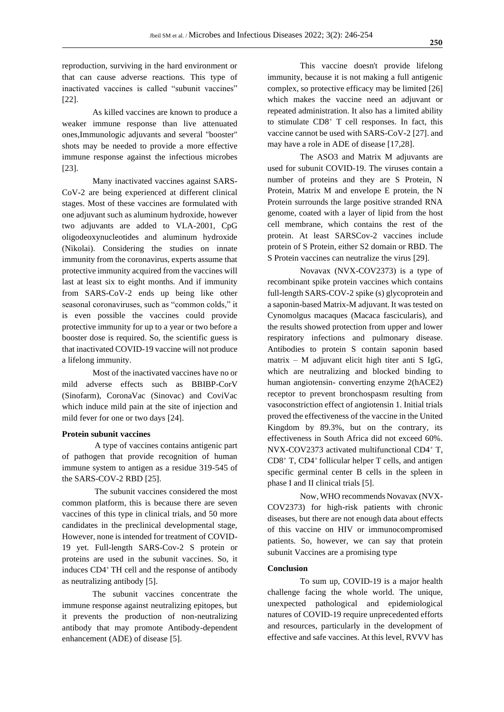reproduction, surviving in the hard environment or that can cause adverse reactions. This type of inactivated vaccines is called "subunit vaccines" [22].

As killed vaccines are known to produce a weaker immune response than live attenuated ones,Immunologic adjuvants and several "booster" shots may be needed to provide a more effective immune response against the infectious microbes [23].

Many inactivated vaccines against SARS-CoV-2 are being experienced at different clinical stages. Most of these vaccines are formulated with one adjuvant such as aluminum hydroxide, however two adjuvants are added to VLA-2001, CpG oligodeoxynucleotides and aluminum hydroxide (Nikolai). Considering the studies on innate immunity from the coronavirus, experts assume that protective immunity acquired from the vaccines will last at least six to eight months. And if immunity from SARS-CoV-2 ends up being like other seasonal coronaviruses, such as "common colds," it is even possible the vaccines could provide protective immunity for up to a year or two before a booster dose is required. So, the scientific guess is that inactivated COVID-19 vaccine will not produce a lifelong immunity.

Most of the inactivated vaccines have no or mild adverse effects such as BBIBP-CorV (Sinofarm), CoronaVac (Sinovac) and CoviVac which induce mild pain at the site of injection and mild fever for one or two days [24].

#### **Protein subunit vaccines**

A type of vaccines contains antigenic part of pathogen that provide recognition of human immune system to antigen as a residue 319-545 of the SARS-COV-2 RBD [25].

The subunit vaccines considered the most common platform, this is because there are seven vaccines of this type in clinical trials, and 50 more candidates in the preclinical developmental stage, However, none is intended for treatment of COVID-19 yet. Full-length SARS-Cov-2 S protein or proteins are used in the subunit vaccines. So, it induces CD4<sup>+</sup>TH cell and the response of antibody as neutralizing antibody [5].

The subunit vaccines concentrate the immune response against neutralizing epitopes, but it prevents the production of non-neutralizing antibody that may promote Antibody-dependent enhancement (ADE) of disease [5].

This vaccine doesn't provide lifelong immunity, because it is not making a full antigenic complex, so protective efficacy may be limited [26] which makes the vaccine need an adjuvant or repeated administration. It also has a limited ability to stimulate CD8<sup>+</sup> T cell responses. In fact, this vaccine cannot be used with SARS-CoV-2 [27]. and may have a role in ADE of disease [17,28].

The ASO3 and Matrix M adjuvants are used for subunit COVID-19. The viruses contain a number of proteins and they are S Protein, N Protein, Matrix M and envelope E protein, the N Protein surrounds the large positive stranded RNA genome, coated with a layer of lipid from the host cell membrane, which contains the rest of the protein. At least SARSCov-2 vaccines include protein of S Protein, either S2 domain or RBD. The S Protein vaccines can neutralize the virus [29].

Novavax (NVX-COV2373) is a type of recombinant spike protein vaccines which contains full-length SARS-COV-2 spike (s) glycoprotein and a saponin-based Matrix-M adjuvant. It was tested on Cynomolgus macaques (Macaca fascicularis), and the results showed protection from upper and lower respiratory infections and pulmonary disease. Antibodies to protein S contain saponin based matrix – M adjuvant elicit high titer anti S IgG, which are neutralizing and blocked binding to human angiotensin- converting enzyme 2(hACE2) receptor to prevent bronchospasm resulting from vasoconstriction effect of angiotensin 1. Initial trials proved the effectiveness of the vaccine in the United Kingdom by 89.3%, but on the contrary, its effectiveness in South Africa did not exceed 60%. NVX-COV2373 activated multifunctional CD4<sup>+</sup> T,  $CD8<sup>+</sup>$  T,  $CD4<sup>+</sup>$  follicular helper T cells, and antigen specific germinal center B cells in the spleen in phase I and II clinical trials [5].

Now, WHO recommends Novavax (NVX-COV2373) for high-risk patients with chronic diseases, but there are not enough data about effects of this vaccine on HIV or immunocompromised patients.So,however, we can say that protein subunit Vaccines are a promising type

## **Conclusion**

To sum up, COVID-19 is a major health challenge facing the whole world. The unique, unexpected pathological and epidemiological natures of COVID-19 require unprecedented efforts and resources, particularly in the development of effective and safe vaccines. At this level, RVVV has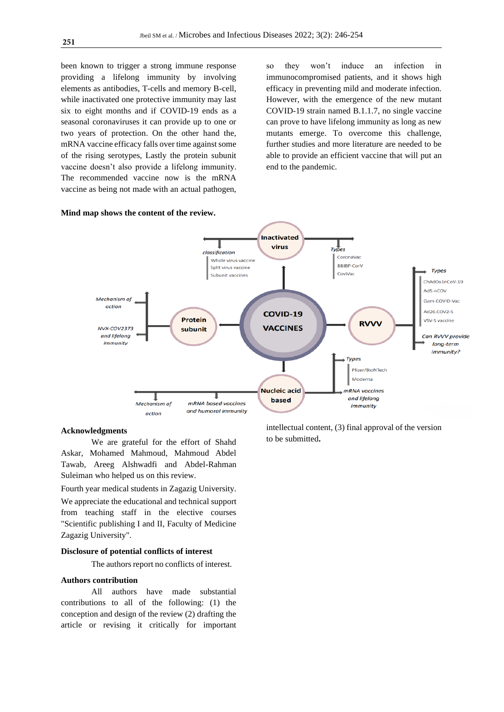been known to trigger a strong immune response providing a lifelong immunity by involving elements as antibodies, T-cells and memory B-cell, while inactivated one protective immunity may last six to eight months and if COVID-19 ends as a seasonal coronaviruses it can provide up to one or two years of protection. On the other hand the, mRNA vaccine efficacy falls over time against some of the rising serotypes, Lastly the protein subunit vaccine doesn't also provide a lifelong immunity. The recommended vaccine now is the mRNA vaccine as being not made with an actual pathogen,

so they won't induce an infection in immunocompromised patients, and it shows high efficacy in preventing mild and moderate infection. However, with the emergence of the new mutant COVID-19 strain named B.1.1.7, no single vaccine can prove to have lifelong immunity as long as new mutants emerge. To overcome this challenge, further studies and more literature are needed to be able to provide an efficient vaccine that will put an end to the pandemic.



#### **Acknowledgments**

We are grateful for the effort of Shahd Askar, Mohamed Mahmoud, Mahmoud Abdel Tawab, Areeg Alshwadfi and Abdel-Rahman Suleiman who helped us on this review.

Fourth year medical students in Zagazig University. We appreciate the educational and technical support from teaching staff in the elective courses "Scientific publishing I and II, Faculty of Medicine Zagazig University".

## **Disclosure of potential conflicts of interest**

The authors report no conflicts of interest.

#### **Authors contribution**

All authors have made substantial contributions to all of the following: (1) the conception and design of the review (2) drafting the article or revising it critically for important intellectual content, (3) final approval of the version to be submitted**.**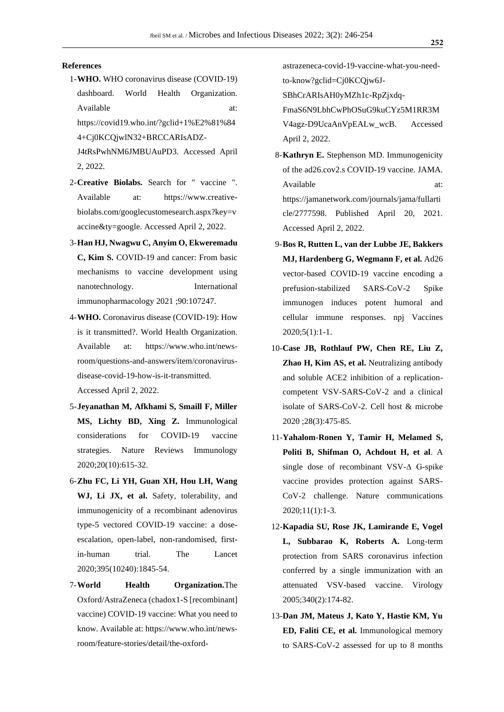### **References**

- 1-**WHO.** WHO coronavirus disease (COVID-19) dashboard. World Health Organization. Available at: https://covid19.who.int/?gclid+1%E2%81%84
	- 4+Cj0KCQjwlN32+BRCCARIsADZ-
	- J4tRsPwhNM6JMBUAuPD3. Accessed April 2, 2022.
- 2-**Creative Biolabs.** Search for " vaccine ". Available at: https://www.creativebiolabs.com/googlecustomesearch.aspx?key=v accine&ty=google. Accessed April 2, 2022.
- 3-**Han HJ, Nwagwu C, Anyim O, Ekweremadu C, Kim S.** COVID-19 and cancer: From basic mechanisms to vaccine development using nanotechnology. International immunopharmacology 2021 ;90:107247.
- 4-**WHO.** Coronavirus disease (COVID-19): How is it transmitted?. World Health Organization. Available at: https://www.who.int/newsroom/questions-and-answers/item/coronavirusdisease-covid-19-how-is-it-transmitted. Accessed April 2, 2022.
- 5-**Jeyanathan M, Afkhami S, Smaill F, Miller MS, Lichty BD, Xing Z.** Immunological considerations for COVID-19 vaccine strategies. Nature Reviews Immunology 2020;20(10):615-32.
- 6-**Zhu FC, Li YH, Guan XH, Hou LH, Wang WJ, Li JX, et al.** Safety, tolerability, and immunogenicity of a recombinant adenovirus type-5 vectored COVID-19 vaccine: a doseescalation, open-label, non-randomised, firstin-human trial. The Lancet 2020;395(10240):1845-54.
- 7-**World Health Organization.**The Oxford/AstraZeneca (chadox1-S [recombinant] vaccine) COVID-19 vaccine: What you need to know. Available at: https://www.who.int/newsroom/feature-stories/detail/the-oxford-

astrazeneca-covid-19-vaccine-what-you-needto-know?gclid=Cj0KCQjw6J-

SBhCrARIsAH0yMZh1c-RpZjxdq-

FmaS6N9LbhCwPhOSuG9kuCYz5M1RR3M V4agz-D9UcaAnVpEALw\_wcB. Accessed April 2, 2022.

- 8-**Kathryn E.** Stephenson MD. Immunogenicity of the ad26.cov2.s COVID-19 vaccine. JAMA. Available at: at: https://jamanetwork.com/journals/jama/fullarti cle/2777598. Published April 20, 2021. Accessed April 2, 2022.
- 9-**Bos R, Rutten L, van der Lubbe JE, Bakkers MJ, Hardenberg G, Wegmann F, et al.** Ad26 vector-based COVID-19 vaccine encoding a prefusion-stabilized SARS-CoV-2 Spike immunogen induces potent humoral and cellular immune responses. npj Vaccines  $2020;5(1):1-1.$
- 10-**Case JB, Rothlauf PW, Chen RE, Liu Z, Zhao H, Kim AS, et al.** Neutralizing antibody and soluble ACE2 inhibition of a replicationcompetent VSV-SARS-CoV-2 and a clinical isolate of SARS-CoV-2. Cell host & microbe 2020 ;28(3):475-85.
- 11-**Yahalom-Ronen Y, Tamir H, Melamed S, Politi B, Shifman O, Achdout H, et al**. A single dose of recombinant VSV-∆ G-spike vaccine provides protection against SARS-CoV-2 challenge. Nature communications 2020;11(1):1-3.
- 12-**Kapadia SU, Rose JK, Lamirande E, Vogel L, Subbarao K, Roberts A.** Long-term protection from SARS coronavirus infection conferred by a single immunization with an attenuated VSV-based vaccine. Virology 2005;340(2):174-82.
- 13-**Dan JM, Mateus J, Kato Y, Hastie KM, Yu ED, Faliti CE, et al.** Immunological memory to SARS-CoV-2 assessed for up to 8 months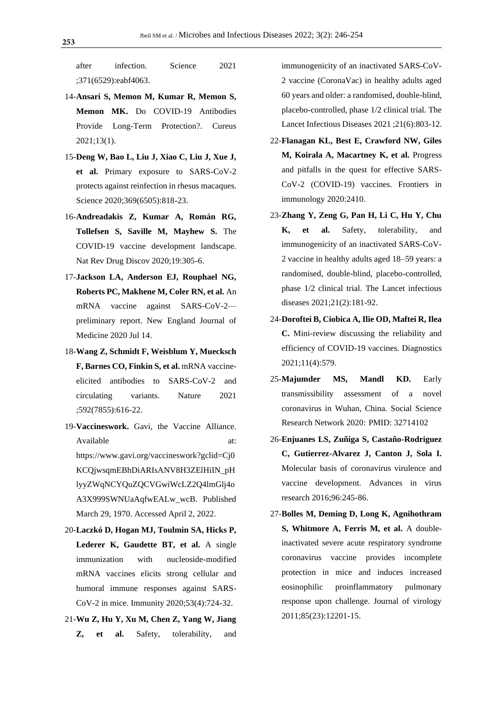after infection. Science 2021 ;371(6529):eabf4063.

- 14-**Ansari S, Memon M, Kumar R, Memon S, Memon MK.** Do COVID-19 Antibodies Provide Long-Term Protection?. Cureus 2021;13(1).
- 15-**Deng W, Bao L, Liu J, Xiao C, Liu J, Xue J, et al.** Primary exposure to SARS-CoV-2 protects against reinfection in rhesus macaques. Science 2020;369(6505):818-23.
- 16-**Andreadakis Z, Kumar A, Román RG, Tollefsen S, Saville M, Mayhew S.** The COVID-19 vaccine development landscape. Nat Rev Drug Discov 2020;19:305-6.
- 17-**Jackson LA, Anderson EJ, Rouphael NG, Roberts PC, Makhene M, Coler RN, et al.** An mRNA vaccine against SARS-CoV-2 preliminary report. New England Journal of Medicine 2020 Jul 14.
- 18-**Wang Z, Schmidt F, Weisblum Y, Muecksch F, Barnes CO, Finkin S, et al.** mRNA vaccineelicited antibodies to SARS-CoV-2 and circulating variants. Nature 2021 ;592(7855):616-22.
- 19-**Vaccineswork.** Gavi, the Vaccine Alliance. Available at: at: https://www.gavi.org/vaccineswork?gclid=Cj0 KCQjwsqmEBhDiARIsANV8H3ZElHiIN\_pH lyyZWqNCYQuZQCVGwiWcLZ2Q4lmGlj4o A3X999SWNUaAqfwEALw\_wcB. Published March 29, 1970. Accessed April 2, 2022.
- 20-**Laczkó D, Hogan MJ, Toulmin SA, Hicks P, Lederer K, Gaudette BT, et al.** A single immunization with nucleoside-modified mRNA vaccines elicits strong cellular and humoral immune responses against SARS-CoV-2 in mice. Immunity 2020;53(4):724-32.
- 21-**Wu Z, Hu Y, Xu M, Chen Z, Yang W, Jiang Z, et al.** Safety, tolerability, and

immunogenicity of an inactivated SARS-CoV-2 vaccine (CoronaVac) in healthy adults aged 60 years and older: a randomised, double-blind, placebo-controlled, phase 1/2 clinical trial. The Lancet Infectious Diseases 2021 ;21(6):803-12.

- 22-**Flanagan KL, Best E, Crawford NW, Giles M, Koirala A, Macartney K, et al.** Progress and pitfalls in the quest for effective SARS-CoV-2 (COVID-19) vaccines. Frontiers in immunology 2020:2410.
- 23-**Zhang Y, Zeng G, Pan H, Li C, Hu Y, Chu K, et al.** Safety, tolerability, and immunogenicity of an inactivated SARS-CoV-2 vaccine in healthy adults aged 18–59 years: a randomised, double-blind, placebo-controlled, phase 1/2 clinical trial. The Lancet infectious diseases 2021;21(2):181-92.
- 24-**Doroftei B, Ciobica A, Ilie OD, Maftei R, Ilea C.** Mini-review discussing the reliability and efficiency of COVID-19 vaccines. Diagnostics 2021;11(4):579.
- 25-**Majumder MS, Mandl KD.** Early transmissibility assessment of a novel coronavirus in Wuhan, China. Social Science Research Network 2020: PMID: [32714102](https://www.ncbi.nlm.nih.gov/pubmed/32714102)
- 26-**Enjuanes LS, Zuñiga S, Castaño-Rodriguez C, Gutierrez-Alvarez J, Canton J, Sola I.** Molecular basis of coronavirus virulence and vaccine development. Advances in virus research 2016;96:245-86.
- 27-**Bolles M, Deming D, Long K, Agnihothram S, Whitmore A, Ferris M, et al.** A doubleinactivated severe acute respiratory syndrome coronavirus vaccine provides incomplete protection in mice and induces increased eosinophilic proinflammatory pulmonary response upon challenge. Journal of virology 2011;85(23):12201-15.